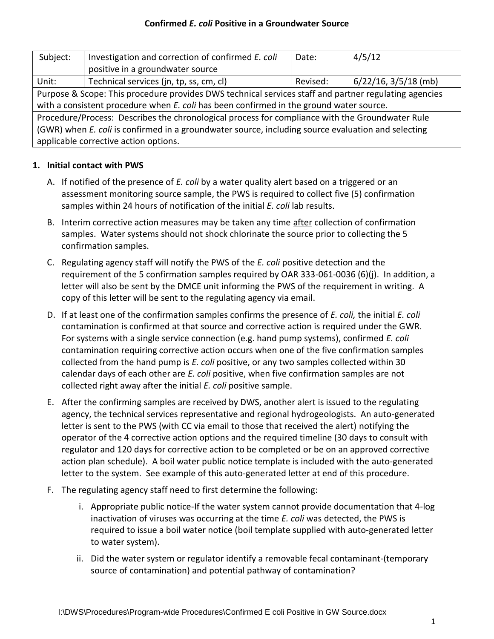#### **Confirmed** *E. coli* **Positive in a Groundwater Source**

| Subject:                                                                                              | Investigation and correction of confirmed E. coli | Date:    | 4/5/12                    |
|-------------------------------------------------------------------------------------------------------|---------------------------------------------------|----------|---------------------------|
|                                                                                                       | positive in a groundwater source                  |          |                           |
| Unit:                                                                                                 | Technical services (jn, tp, ss, cm, cl)           | Revised: | $6/22/16$ , $3/5/18$ (mb) |
| Purpose & Scope: This procedure provides DWS technical services staff and partner regulating agencies |                                                   |          |                           |
| with a consistent procedure when E. coli has been confirmed in the ground water source.               |                                                   |          |                           |
| Procedure/Process: Describes the chronological process for compliance with the Groundwater Rule       |                                                   |          |                           |
| (GWR) when E. coli is confirmed in a groundwater source, including source evaluation and selecting    |                                                   |          |                           |
| applicable corrective action options.                                                                 |                                                   |          |                           |

### **1. Initial contact with PWS**

- A. If notified of the presence of *E. coli* by a water quality alert based on a triggered or an assessment monitoring source sample, the PWS is required to collect five (5) confirmation samples within 24 hours of notification of the initial *E. coli* lab results.
- B. Interim corrective action measures may be taken any time after collection of confirmation samples. Water systems should not shock chlorinate the source prior to collecting the 5 confirmation samples.
- C. Regulating agency staff will notify the PWS of the *E. coli* positive detection and the requirement of the 5 confirmation samples required by OAR 333-061-0036 (6)(j). In addition, a letter will also be sent by the DMCE unit informing the PWS of the requirement in writing. A copy of this letter will be sent to the regulating agency via email.
- D. If at least one of the confirmation samples confirms the presence of *E. coli,* the initial *E. coli* contamination is confirmed at that source and corrective action is required under the GWR. For systems with a single service connection (e.g. hand pump systems), confirmed *E. coli* contamination requiring corrective action occurs when one of the five confirmation samples collected from the hand pump is *E. coli* positive, or any two samples collected within 30 calendar days of each other are *E. coli* positive, when five confirmation samples are not collected right away after the initial *E. coli* positive sample.
- E. After the confirming samples are received by DWS, another alert is issued to the regulating agency, the technical services representative and regional hydrogeologists. An auto-generated letter is sent to the PWS (with CC via email to those that received the alert) notifying the operator of the 4 corrective action options and the required timeline (30 days to consult with regulator and 120 days for corrective action to be completed or be on an approved corrective action plan schedule). A boil water public notice template is included with the auto-generated letter to the system. See example of this auto-generated letter at end of this procedure.
- F. The regulating agency staff need to first determine the following:
	- i. Appropriate public notice-If the water system cannot provide documentation that 4-log inactivation of viruses was occurring at the time *E. coli* was detected, the PWS is required to issue a boil water notice (boil template supplied with auto-generated letter to water system).
	- ii. Did the water system or regulator identify a removable fecal contaminant-(temporary source of contamination) and potential pathway of contamination?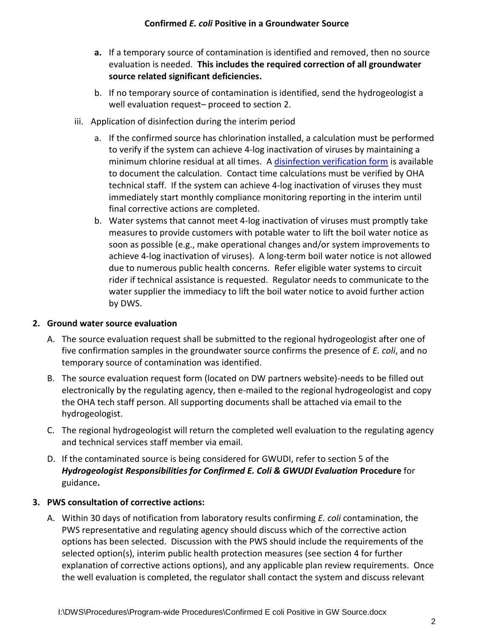- **a.** If a temporary source of contamination is identified and removed, then no source evaluation is needed. **This includes the required correction of all groundwater source related significant deficiencies.**
- b. If no temporary source of contamination is identified, send the hydrogeologist a well evaluation request– proceed to section 2.
- iii. Application of disinfection during the interim period
	- a. If the confirmed source has chlorination installed, a calculation must be performed to verify if the system can achieve 4-log inactivation of viruses by maintaining a minimum chlorine residual at all times. A [disinfection verification form](https://partners.health.oregon.gov/HealthyEnvironments/DrinkingWater/Rules/GWR/Documents/gwdisinfection.pdf) is available to document the calculation. Contact time calculations must be verified by OHA technical staff. If the system can achieve 4-log inactivation of viruses they must immediately start monthly compliance monitoring reporting in the interim until final corrective actions are completed.
	- b. Water systems that cannot meet 4-log inactivation of viruses must promptly take measures to provide customers with potable water to lift the boil water notice as soon as possible (e.g., make operational changes and/or system improvements to achieve 4-log inactivation of viruses). A long-term boil water notice is not allowed due to numerous public health concerns. Refer eligible water systems to circuit rider if technical assistance is requested. Regulator needs to communicate to the water supplier the immediacy to lift the boil water notice to avoid further action by DWS.

#### **2. Ground water source evaluation**

- A. The source evaluation request shall be submitted to the regional hydrogeologist after one of five confirmation samples in the groundwater source confirms the presence of *E. coli*, and no temporary source of contamination was identified.
- B. The source evaluation request form (located on DW partners website)-needs to be filled out electronically by the regulating agency, then e-mailed to the regional hydrogeologist and copy the OHA tech staff person. All supporting documents shall be attached via email to the hydrogeologist.
- C. The regional hydrogeologist will return the completed well evaluation to the regulating agency and technical services staff member via email.
- D. If the contaminated source is being considered for GWUDI, refer to section 5 of the *Hydrogeologist Responsibilities for Confirmed E. Coli & GWUDI Evaluation* **Procedure** for guidance**.**

# **3. PWS consultation of corrective actions:**

A. Within 30 days of notification from laboratory results confirming *E. coli* contamination, the PWS representative and regulating agency should discuss which of the corrective action options has been selected. Discussion with the PWS should include the requirements of the selected option(s), interim public health protection measures (see section 4 for further explanation of corrective actions options), and any applicable plan review requirements. Once the well evaluation is completed, the regulator shall contact the system and discuss relevant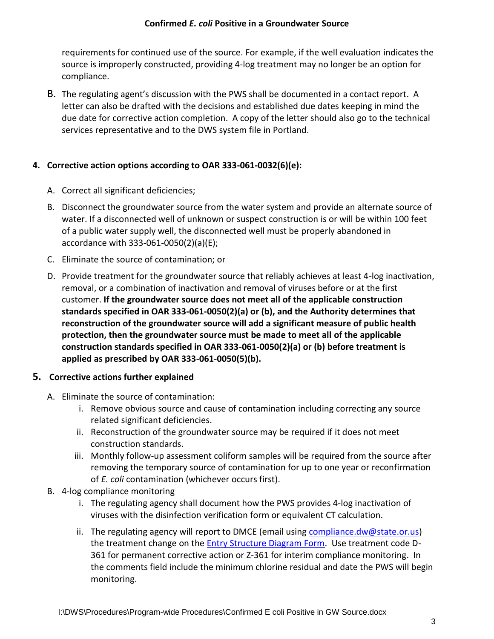#### **Confirmed** *E. coli* **Positive in a Groundwater Source**

requirements for continued use of the source. For example, if the well evaluation indicates the source is improperly constructed, providing 4-log treatment may no longer be an option for compliance.

B. The regulating agent's discussion with the PWS shall be documented in a contact report. A letter can also be drafted with the decisions and established due dates keeping in mind the due date for corrective action completion. A copy of the letter should also go to the technical services representative and to the DWS system file in Portland.

# **4. Corrective action options according to OAR 333-061-0032(6)(e):**

- A. Correct all significant deficiencies;
- B. Disconnect the groundwater source from the water system and provide an alternate source of water. If a disconnected well of unknown or suspect construction is or will be within 100 feet of a public water supply well, the disconnected well must be properly abandoned in accordance with 333-061-0050(2)(a)(E);
- C. Eliminate the source of contamination; or
- D. Provide treatment for the groundwater source that reliably achieves at least 4-log inactivation, removal, or a combination of inactivation and removal of viruses before or at the first customer. **If the groundwater source does not meet all of the applicable construction standards specified in OAR 333-061-0050(2)(a) or (b), and the Authority determines that reconstruction of the groundwater source will add a significant measure of public health protection, then the groundwater source must be made to meet all of the applicable construction standards specified in OAR 333-061-0050(2)(a) or (b) before treatment is applied as prescribed by OAR 333-061-0050(5)(b).**

### **5. Corrective actions further explained**

- A. Eliminate the source of contamination:
	- i. Remove obvious source and cause of contamination including correcting any source related significant deficiencies.
	- ii. Reconstruction of the groundwater source may be required if it does not meet construction standards.
	- iii. Monthly follow-up assessment coliform samples will be required from the source after removing the temporary source of contamination for up to one year or reconfirmation of *E. coli* contamination (whichever occurs first).
- B. 4-log compliance monitoring
	- i. The regulating agency shall document how the PWS provides 4-log inactivation of viruses with the disinfection verification form or equivalent CT calculation.
	- ii. The regulating agency will report to DMCE (email using [compliance.dw@state.or.us\)](mailto:compliance.dw@state.or.us) the treatment change on the **Entry Structure Diagram Form.** Use treatment code D-361 for permanent corrective action or Z-361 for interim compliance monitoring. In the comments field include the minimum chlorine residual and date the PWS will begin monitoring.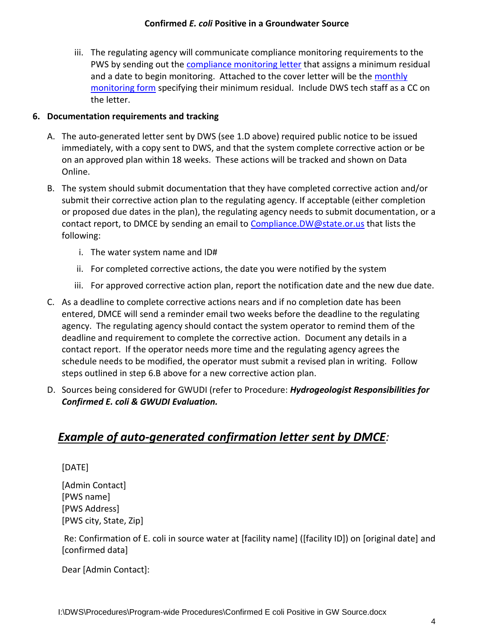iii. The regulating agency will communicate compliance monitoring requirements to the PWS by sending out the [compliance monitoring letter](https://partners.health.oregon.gov/Partners/DrinkingWater/Pages/gwr.aspx#procedures) that assigns a minimum residual and a date to begin monitoring. Attached to the cover letter will be the [monthly](https://partners.health.oregon.gov/Partners/DrinkingWater/Pages/gwr.aspx#procedures)  [monitoring form](https://partners.health.oregon.gov/Partners/DrinkingWater/Pages/gwr.aspx#procedures) specifying their minimum residual. Include DWS tech staff as a CC on the letter.

# **6. Documentation requirements and tracking**

- A. The auto-generated letter sent by DWS (see 1.D above) required public notice to be issued immediately, with a copy sent to DWS, and that the system complete corrective action or be on an approved plan within 18 weeks. These actions will be tracked and shown on Data Online.
- B. The system should submit documentation that they have completed corrective action and/or submit their corrective action plan to the regulating agency. If acceptable (either completion or proposed due dates in the plan), the regulating agency needs to submit documentation, or a contact report, to DMCE by sending an email t[o Compliance.DW@state.or.us](mailto:Compliance.DW@state.or.us) that lists the following:
	- i. The water system name and ID#
	- ii. For completed corrective actions, the date you were notified by the system
	- iii. For approved corrective action plan, report the notification date and the new due date.
- C. As a deadline to complete corrective actions nears and if no completion date has been entered, DMCE will send a reminder email two weeks before the deadline to the regulating agency. The regulating agency should contact the system operator to remind them of the deadline and requirement to complete the corrective action. Document any details in a contact report. If the operator needs more time and the regulating agency agrees the schedule needs to be modified, the operator must submit a revised plan in writing. Follow steps outlined in step 6.B above for a new corrective action plan.
- D. Sources being considered for GWUDI (refer to Procedure: *Hydrogeologist Responsibilities for Confirmed E. coli & GWUDI Evaluation.*

# *Example of auto-generated confirmation letter sent by DMCE:*

# [DATE]

[Admin Contact] [PWS name] [PWS Address] [PWS city, State, Zip]

Re: Confirmation of E. coli in source water at [facility name] ([facility ID]) on [original date] and [confirmed data]

Dear [Admin Contact]: